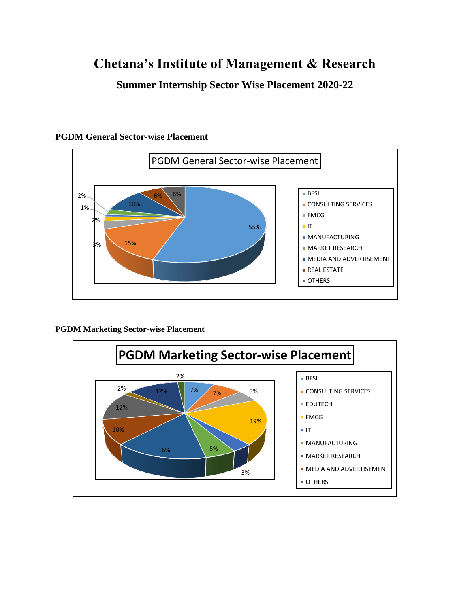# **Chetana's Institute of Management & Research**

**Summer Internship Sector Wise Placement 2020-22**



#### **PGDM General Sector-wise Placement**

**PGDM Marketing Sector-wise Placement** 

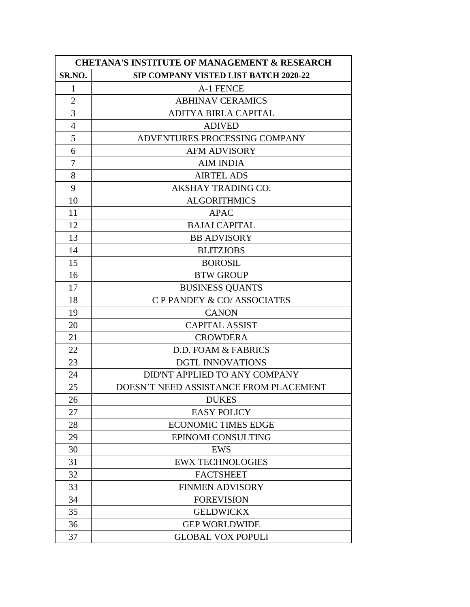| <b>CHETANA'S INSTITUTE OF MANAGEMENT &amp; RESEARCH</b> |                                              |
|---------------------------------------------------------|----------------------------------------------|
| SR.NO.                                                  | <b>SIP COMPANY VISTED LIST BATCH 2020-22</b> |
| $\mathbf{1}$                                            | A-1 FENCE                                    |
| $\overline{2}$                                          | <b>ABHINAV CERAMICS</b>                      |
| 3                                                       | ADITYA BIRLA CAPITAL                         |
| $\overline{4}$                                          | <b>ADIVED</b>                                |
| 5                                                       | ADVENTURES PROCESSING COMPANY                |
| 6                                                       | <b>AFM ADVISORY</b>                          |
| 7                                                       | <b>AIM INDIA</b>                             |
| 8                                                       | <b>AIRTEL ADS</b>                            |
| 9                                                       | AKSHAY TRADING CO.                           |
| 10                                                      | <b>ALGORITHMICS</b>                          |
| 11                                                      | <b>APAC</b>                                  |
| 12                                                      | <b>BAJAJ CAPITAL</b>                         |
| 13                                                      | <b>BB ADVISORY</b>                           |
| 14                                                      | <b>BLITZJOBS</b>                             |
| 15                                                      | <b>BOROSIL</b>                               |
| 16                                                      | <b>BTW GROUP</b>                             |
| 17                                                      | <b>BUSINESS QUANTS</b>                       |
| 18                                                      | C P PANDEY & CO/ ASSOCIATES                  |
| 19                                                      | <b>CANON</b>                                 |
| 20                                                      | <b>CAPITAL ASSIST</b>                        |
| 21                                                      | <b>CROWDERA</b>                              |
| 22                                                      | D.D. FOAM & FABRICS                          |
| 23                                                      | <b>DGTL INNOVATIONS</b>                      |
| 24                                                      | DID'NT APPLIED TO ANY COMPANY                |
| 25                                                      | DOESN'T NEED ASSISTANCE FROM PLACEMENT       |
| 26                                                      | <b>DUKES</b>                                 |
| 27                                                      | <b>EASY POLICY</b>                           |
| 28                                                      | <b>ECONOMIC TIMES EDGE</b>                   |
| 29                                                      | EPINOMI CONSULTING                           |
| 30                                                      | <b>EWS</b>                                   |
| 31                                                      | <b>EWX TECHNOLOGIES</b>                      |
| 32                                                      | <b>FACTSHEET</b>                             |
| 33                                                      | <b>FINMEN ADVISORY</b>                       |
| 34                                                      | <b>FOREVISION</b>                            |
| 35                                                      | <b>GELDWICKX</b>                             |
| 36                                                      | <b>GEP WORLDWIDE</b>                         |
| 37                                                      | <b>GLOBAL VOX POPULI</b>                     |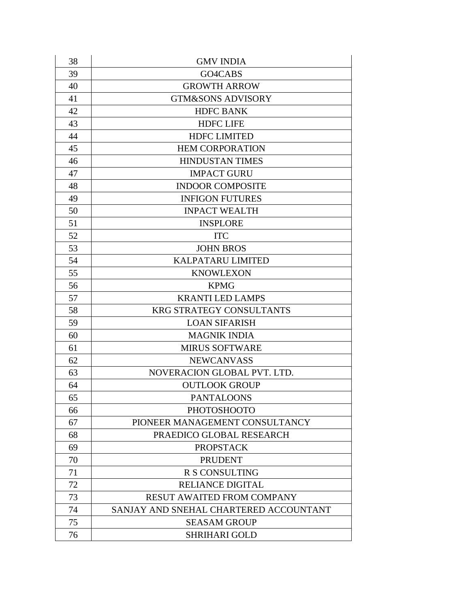| 38 | <b>GMV INDIA</b>                       |
|----|----------------------------------------|
| 39 | GO4CABS                                |
| 40 | <b>GROWTH ARROW</b>                    |
| 41 | <b>GTM&amp;SONS ADVISORY</b>           |
| 42 | <b>HDFC BANK</b>                       |
| 43 | <b>HDFC LIFE</b>                       |
| 44 | <b>HDFC LIMITED</b>                    |
| 45 | <b>HEM CORPORATION</b>                 |
| 46 | <b>HINDUSTAN TIMES</b>                 |
| 47 | <b>IMPACT GURU</b>                     |
| 48 | <b>INDOOR COMPOSITE</b>                |
| 49 | <b>INFIGON FUTURES</b>                 |
| 50 | <b>INPACT WEALTH</b>                   |
| 51 | <b>INSPLORE</b>                        |
| 52 | <b>ITC</b>                             |
| 53 | <b>JOHN BROS</b>                       |
| 54 | <b>KALPATARU LIMITED</b>               |
| 55 | <b>KNOWLEXON</b>                       |
| 56 | <b>KPMG</b>                            |
| 57 | <b>KRANTI LED LAMPS</b>                |
| 58 | <b>KRG STRATEGY CONSULTANTS</b>        |
| 59 | <b>LOAN SIFARISH</b>                   |
| 60 | <b>MAGNIK INDIA</b>                    |
| 61 | <b>MIRUS SOFTWARE</b>                  |
| 62 | <b>NEWCANVASS</b>                      |
| 63 | NOVERACION GLOBAL PVT. LTD.            |
| 64 | <b>OUTLOOK GROUP</b>                   |
| 65 | <b>PANTALOONS</b>                      |
| 66 | <b>PHOTOSHOOTO</b>                     |
| 67 | PIONEER MANAGEMENT CONSULTANCY         |
| 68 | PRAEDICO GLOBAL RESEARCH               |
| 69 | <b>PROPSTACK</b>                       |
| 70 | <b>PRUDENT</b>                         |
| 71 | R S CONSULTING                         |
| 72 | <b>RELIANCE DIGITAL</b>                |
| 73 | <b>RESUT AWAITED FROM COMPANY</b>      |
| 74 | SANJAY AND SNEHAL CHARTERED ACCOUNTANT |
| 75 | <b>SEASAM GROUP</b>                    |
| 76 | <b>SHRIHARI GOLD</b>                   |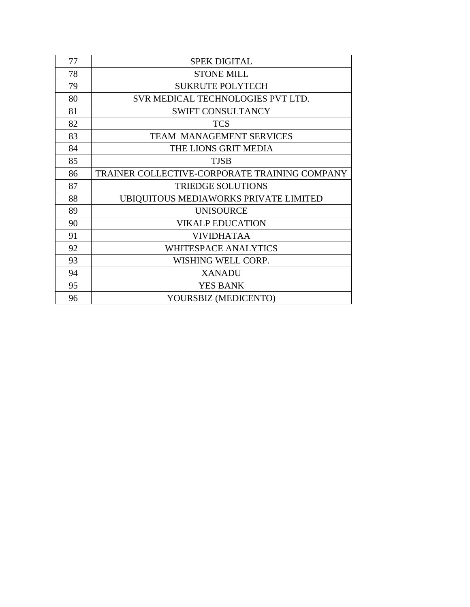| 77 | <b>SPEK DIGITAL</b>                           |
|----|-----------------------------------------------|
| 78 | <b>STONE MILL</b>                             |
| 79 | <b>SUKRUTE POLYTECH</b>                       |
| 80 | SVR MEDICAL TECHNOLOGIES PVT LTD.             |
| 81 | <b>SWIFT CONSULTANCY</b>                      |
| 82 | <b>TCS</b>                                    |
| 83 | <b>TEAM MANAGEMENT SERVICES</b>               |
| 84 | THE LIONS GRIT MEDIA                          |
| 85 | <b>TJSB</b>                                   |
| 86 | TRAINER COLLECTIVE-CORPORATE TRAINING COMPANY |
| 87 | <b>TRIEDGE SOLUTIONS</b>                      |
| 88 | UBIQUITOUS MEDIAWORKS PRIVATE LIMITED         |
| 89 | <b>UNISOURCE</b>                              |
| 90 | <b>VIKALP EDUCATION</b>                       |
| 91 | <b>VIVIDHATAA</b>                             |
| 92 | <b>WHITESPACE ANALYTICS</b>                   |
| 93 | WISHING WELL CORP.                            |
| 94 | <b>XANADU</b>                                 |
| 95 | <b>YES BANK</b>                               |
| 96 | YOURSBIZ (MEDICENTO)                          |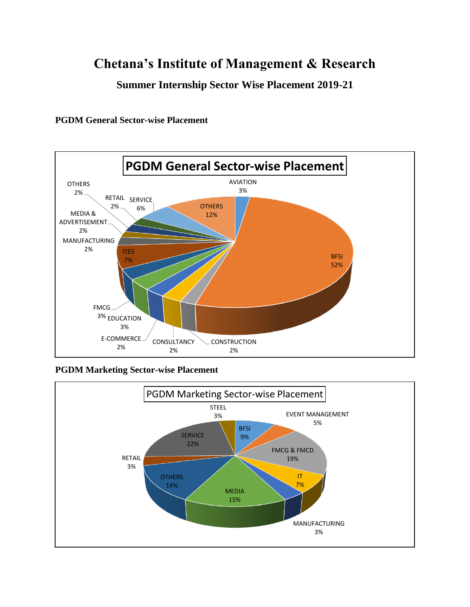## **Chetana's Institute of Management & Research**

**Summer Internship Sector Wise Placement 2019-21**

**PGDM General Sector-wise Placement** 



**PGDM Marketing Sector-wise Placement** 

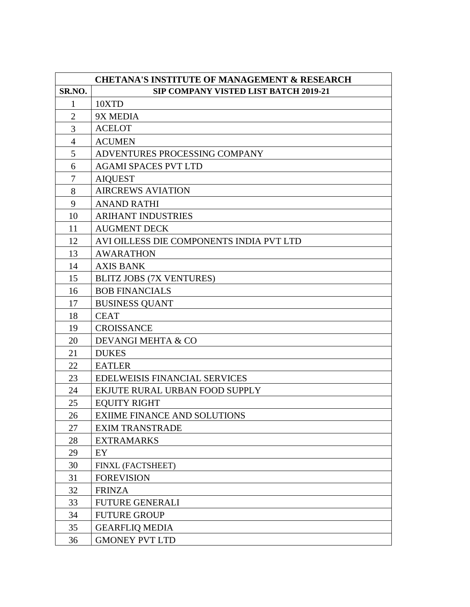| <b>CHETANA'S INSTITUTE OF MANAGEMENT &amp; RESEARCH</b> |                                          |
|---------------------------------------------------------|------------------------------------------|
| SR.NO.                                                  | SIP COMPANY VISTED LIST BATCH 2019-21    |
| $\mathbf{1}$                                            | 10XTD                                    |
| $\overline{2}$                                          | 9X MEDIA                                 |
| 3                                                       | <b>ACELOT</b>                            |
| $\overline{4}$                                          | <b>ACUMEN</b>                            |
| 5                                                       | ADVENTURES PROCESSING COMPANY            |
| 6                                                       | <b>AGAMI SPACES PVT LTD</b>              |
| $\overline{7}$                                          | <b>AIQUEST</b>                           |
| 8                                                       | <b>AIRCREWS AVIATION</b>                 |
| 9                                                       | <b>ANAND RATHI</b>                       |
| 10                                                      | <b>ARIHANT INDUSTRIES</b>                |
| 11                                                      | <b>AUGMENT DECK</b>                      |
| 12                                                      | AVI OILLESS DIE COMPONENTS INDIA PVT LTD |
| 13                                                      | <b>AWARATHON</b>                         |
| 14                                                      | <b>AXIS BANK</b>                         |
| 15                                                      | <b>BLITZ JOBS (7X VENTURES)</b>          |
| 16                                                      | <b>BOB FINANCIALS</b>                    |
| 17                                                      | <b>BUSINESS QUANT</b>                    |
| 18                                                      | <b>CEAT</b>                              |
| 19                                                      | <b>CROISSANCE</b>                        |
| 20                                                      | DEVANGI MEHTA & CO                       |
| 21                                                      | <b>DUKES</b>                             |
| 22                                                      | <b>EATLER</b>                            |
| 23                                                      | EDELWEISIS FINANCIAL SERVICES            |
| 24                                                      | EKJUTE RURAL URBAN FOOD SUPPLY           |
| 25                                                      | <b>EQUITY RIGHT</b>                      |
| 26                                                      | <b>EXIIME FINANCE AND SOLUTIONS</b>      |
| 27                                                      | <b>EXIM TRANSTRADE</b>                   |
| 28                                                      | <b>EXTRAMARKS</b>                        |
| 29                                                      | EY                                       |
| 30                                                      | FINXL (FACTSHEET)                        |
| 31                                                      | <b>FOREVISION</b>                        |
| 32                                                      | <b>FRINZA</b>                            |
| 33                                                      | <b>FUTURE GENERALI</b>                   |
| 34                                                      | <b>FUTURE GROUP</b>                      |
| 35                                                      | <b>GEARFLIQ MEDIA</b>                    |
| 36                                                      | <b>GMONEY PVT LTD</b>                    |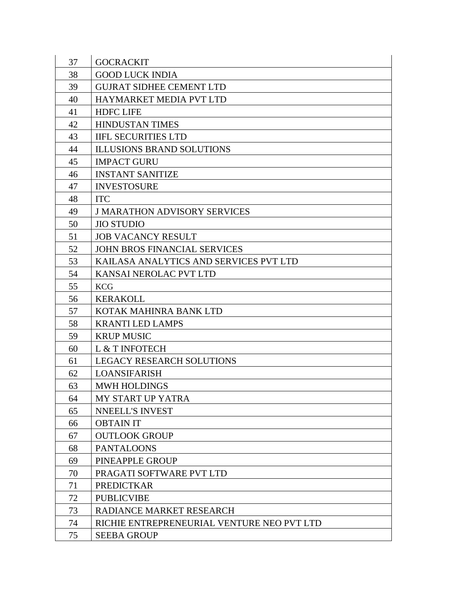| 37 | <b>GOCRACKIT</b>                           |
|----|--------------------------------------------|
| 38 | <b>GOOD LUCK INDIA</b>                     |
| 39 | <b>GUJRAT SIDHEE CEMENT LTD</b>            |
| 40 | HAYMARKET MEDIA PVT LTD                    |
| 41 | <b>HDFC LIFE</b>                           |
| 42 | <b>HINDUSTAN TIMES</b>                     |
| 43 | <b>IIFL SECURITIES LTD</b>                 |
| 44 | <b>ILLUSIONS BRAND SOLUTIONS</b>           |
| 45 | <b>IMPACT GURU</b>                         |
| 46 | <b>INSTANT SANITIZE</b>                    |
| 47 | <b>INVESTOSURE</b>                         |
| 48 | <b>ITC</b>                                 |
| 49 | <b>J MARATHON ADVISORY SERVICES</b>        |
| 50 | <b>JIO STUDIO</b>                          |
| 51 | <b>JOB VACANCY RESULT</b>                  |
| 52 | <b>JOHN BROS FINANCIAL SERVICES</b>        |
| 53 | KAILASA ANALYTICS AND SERVICES PVT LTD     |
| 54 | KANSAI NEROLAC PVT LTD                     |
| 55 | <b>KCG</b>                                 |
| 56 | <b>KERAKOLL</b>                            |
| 57 | KOTAK MAHINRA BANK LTD                     |
| 58 | <b>KRANTI LED LAMPS</b>                    |
| 59 | <b>KRUP MUSIC</b>                          |
| 60 | L & T INFOTECH                             |
| 61 | <b>LEGACY RESEARCH SOLUTIONS</b>           |
| 62 | <b>LOANSIFARISH</b>                        |
| 63 | <b>MWH HOLDINGS</b>                        |
| 64 | MY START UP YATRA                          |
| 65 | NNEELL'S INVEST                            |
| 66 | <b>OBTAIN IT</b>                           |
| 67 | <b>OUTLOOK GROUP</b>                       |
| 68 | <b>PANTALOONS</b>                          |
| 69 | PINEAPPLE GROUP                            |
| 70 | PRAGATI SOFTWARE PVT LTD                   |
| 71 | <b>PREDICTKAR</b>                          |
| 72 | <b>PUBLICVIBE</b>                          |
| 73 | RADIANCE MARKET RESEARCH                   |
| 74 | RICHIE ENTREPRENEURIAL VENTURE NEO PVT LTD |
| 75 | <b>SEEBA GROUP</b>                         |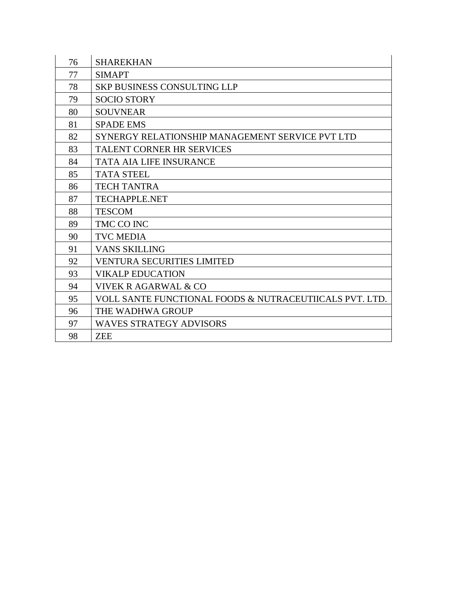| 76 | <b>SHAREKHAN</b>                                        |
|----|---------------------------------------------------------|
| 77 | <b>SIMAPT</b>                                           |
| 78 | <b>SKP BUSINESS CONSULTING LLP</b>                      |
| 79 | <b>SOCIO STORY</b>                                      |
| 80 | <b>SOUVNEAR</b>                                         |
| 81 | <b>SPADE EMS</b>                                        |
| 82 | SYNERGY RELATIONSHIP MANAGEMENT SERVICE PVT LTD         |
| 83 | <b>TALENT CORNER HR SERVICES</b>                        |
| 84 | <b>TATA AIA LIFE INSURANCE</b>                          |
| 85 | <b>TATA STEEL</b>                                       |
| 86 | <b>TECH TANTRA</b>                                      |
| 87 | <b>TECHAPPLE.NET</b>                                    |
| 88 | <b>TESCOM</b>                                           |
| 89 | TMC CO INC                                              |
| 90 | <b>TVC MEDIA</b>                                        |
| 91 | <b>VANS SKILLING</b>                                    |
| 92 | <b>VENTURA SECURITIES LIMITED</b>                       |
| 93 | <b>VIKALP EDUCATION</b>                                 |
| 94 | VIVEK R AGARWAL & CO                                    |
| 95 | VOLL SANTE FUNCTIONAL FOODS & NUTRACEUTIICALS PVT. LTD. |
| 96 | THE WADHWA GROUP                                        |
| 97 | <b>WAVES STRATEGY ADVISORS</b>                          |
| 98 | <b>ZEE</b>                                              |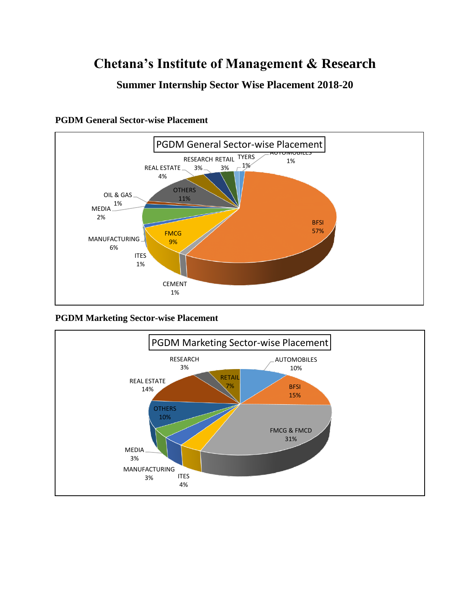## **Chetana's Institute of Management & Research**

### **Summer Internship Sector Wise Placement 2018-20**



**PGDM General Sector-wise Placement** 

#### **PGDM Marketing Sector-wise Placement**

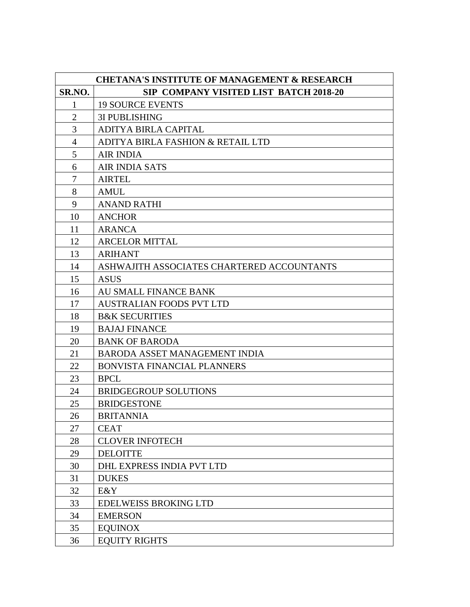| <b>CHETANA'S INSTITUTE OF MANAGEMENT &amp; RESEARCH</b> |                                            |
|---------------------------------------------------------|--------------------------------------------|
| SR.NO.                                                  | SIP COMPANY VISITED LIST BATCH 2018-20     |
| $\mathbf{1}$                                            | <b>19 SOURCE EVENTS</b>                    |
| $\overline{2}$                                          | <b>3I PUBLISHING</b>                       |
| 3                                                       | ADITYA BIRLA CAPITAL                       |
| 4                                                       | ADITYA BIRLA FASHION & RETAIL LTD          |
| 5                                                       | <b>AIR INDIA</b>                           |
| 6                                                       | <b>AIR INDIA SATS</b>                      |
| 7                                                       | <b>AIRTEL</b>                              |
| 8                                                       | <b>AMUL</b>                                |
| 9                                                       | <b>ANAND RATHI</b>                         |
| 10                                                      | <b>ANCHOR</b>                              |
| 11                                                      | <b>ARANCA</b>                              |
| 12                                                      | <b>ARCELOR MITTAL</b>                      |
| 13                                                      | <b>ARIHANT</b>                             |
| 14                                                      | ASHWAJITH ASSOCIATES CHARTERED ACCOUNTANTS |
| 15                                                      | <b>ASUS</b>                                |
| 16                                                      | <b>AU SMALL FINANCE BANK</b>               |
| 17                                                      | <b>AUSTRALIAN FOODS PVT LTD</b>            |
| 18                                                      | <b>B&amp;K SECURITIES</b>                  |
| 19                                                      | <b>BAJAJ FINANCE</b>                       |
| 20                                                      | <b>BANK OF BARODA</b>                      |
| 21                                                      | BARODA ASSET MANAGEMENT INDIA              |
| 22                                                      | BONVISTA FINANCIAL PLANNERS                |
| 23                                                      | <b>BPCL</b>                                |
| 24                                                      | <b>BRIDGEGROUP SOLUTIONS</b>               |
| 25                                                      | <b>BRIDGESTONE</b>                         |
| 26                                                      | <b>BRITANNIA</b>                           |
| 27                                                      | <b>CEAT</b>                                |
| 28                                                      | <b>CLOVER INFOTECH</b>                     |
| 29                                                      | <b>DELOITTE</b>                            |
| 30                                                      | DHL EXPRESS INDIA PVT LTD                  |
| 31                                                      | <b>DUKES</b>                               |
| 32                                                      | E&Y                                        |
| 33                                                      | <b>EDELWEISS BROKING LTD</b>               |
| 34                                                      | <b>EMERSON</b>                             |
| 35                                                      | <b>EQUINOX</b>                             |
| 36                                                      | <b>EQUITY RIGHTS</b>                       |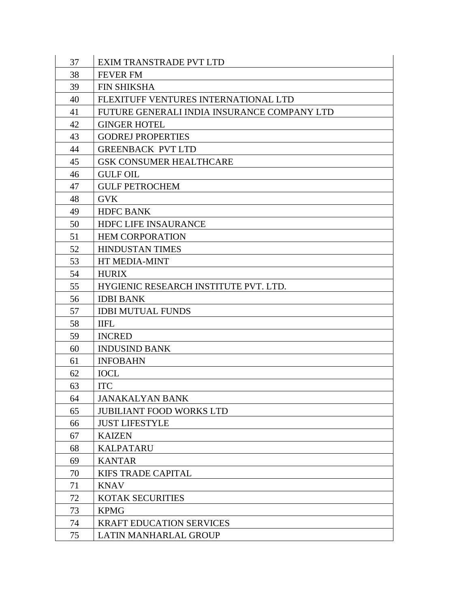| 37 | EXIM TRANSTRADE PVT LTD                     |
|----|---------------------------------------------|
| 38 | <b>FEVER FM</b>                             |
| 39 | <b>FIN SHIKSHA</b>                          |
| 40 | FLEXITUFF VENTURES INTERNATIONAL LTD        |
| 41 | FUTURE GENERALI INDIA INSURANCE COMPANY LTD |
| 42 | <b>GINGER HOTEL</b>                         |
| 43 | <b>GODREJ PROPERTIES</b>                    |
| 44 | <b>GREENBACK PVT LTD</b>                    |
| 45 | <b>GSK CONSUMER HEALTHCARE</b>              |
| 46 | <b>GULF OIL</b>                             |
| 47 | <b>GULF PETROCHEM</b>                       |
| 48 | <b>GVK</b>                                  |
| 49 | <b>HDFC BANK</b>                            |
| 50 | <b>HDFC LIFE INSAURANCE</b>                 |
| 51 | <b>HEM CORPORATION</b>                      |
| 52 | <b>HINDUSTAN TIMES</b>                      |
| 53 | HT MEDIA-MINT                               |
| 54 | <b>HURIX</b>                                |
| 55 | HYGIENIC RESEARCH INSTITUTE PVT. LTD.       |
| 56 | <b>IDBI BANK</b>                            |
| 57 | <b>IDBI MUTUAL FUNDS</b>                    |
| 58 | <b>IIFL</b>                                 |
| 59 | <b>INCRED</b>                               |
| 60 | <b>INDUSIND BANK</b>                        |
| 61 | <b>INFOBAHN</b>                             |
| 62 | <b>IOCL</b>                                 |
| 63 | <b>ITC</b>                                  |
| 64 | <b>JANAKALYAN BANK</b>                      |
| 65 | <b>JUBILIANT FOOD WORKS LTD</b>             |
| 66 | <b>JUST LIFESTYLE</b>                       |
| 67 | <b>KAIZEN</b>                               |
| 68 | <b>KALPATARU</b>                            |
| 69 | <b>KANTAR</b>                               |
| 70 | <b>KIFS TRADE CAPITAL</b>                   |
| 71 | <b>KNAV</b>                                 |
| 72 | <b>KOTAK SECURITIES</b>                     |
| 73 | <b>KPMG</b>                                 |
| 74 | <b>KRAFT EDUCATION SERVICES</b>             |
| 75 | LATIN MANHARLAL GROUP                       |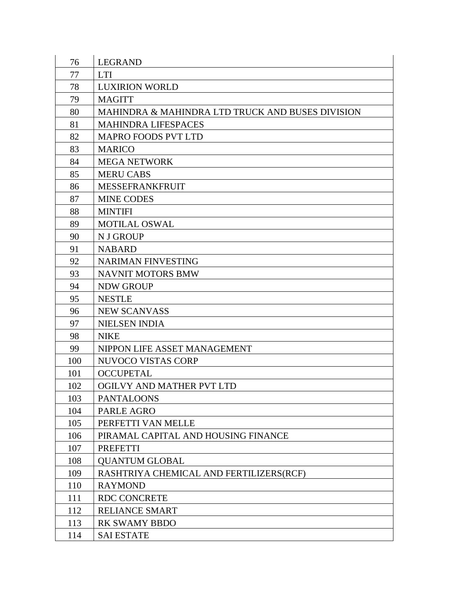| 76  | <b>LEGRAND</b>                                   |
|-----|--------------------------------------------------|
| 77  | <b>LTI</b>                                       |
| 78  | <b>LUXIRION WORLD</b>                            |
| 79  | <b>MAGITT</b>                                    |
| 80  | MAHINDRA & MAHINDRA LTD TRUCK AND BUSES DIVISION |
| 81  | <b>MAHINDRA LIFESPACES</b>                       |
| 82  | <b>MAPRO FOODS PVT LTD</b>                       |
| 83  | <b>MARICO</b>                                    |
| 84  | <b>MEGA NETWORK</b>                              |
| 85  | <b>MERU CABS</b>                                 |
| 86  | MESSEFRANKFRUIT                                  |
| 87  | <b>MINE CODES</b>                                |
| 88  | <b>MINTIFI</b>                                   |
| 89  | <b>MOTILAL OSWAL</b>                             |
| 90  | N J GROUP                                        |
| 91  | <b>NABARD</b>                                    |
| 92  | <b>NARIMAN FINVESTING</b>                        |
| 93  | <b>NAVNIT MOTORS BMW</b>                         |
| 94  | <b>NDW GROUP</b>                                 |
| 95  | <b>NESTLE</b>                                    |
| 96  | <b>NEW SCANVASS</b>                              |
| 97  | <b>NIELSEN INDIA</b>                             |
| 98  | <b>NIKE</b>                                      |
| 99  | NIPPON LIFE ASSET MANAGEMENT                     |
| 100 | NUVOCO VISTAS CORP                               |
| 101 | <b>OCCUPETAL</b>                                 |
| 102 | OGILVY AND MATHER PVT LTD                        |
| 103 | <b>PANTALOONS</b>                                |
| 104 | PARLE AGRO                                       |
| 105 | PERFETTI VAN MELLE                               |
| 106 | PIRAMAL CAPITAL AND HOUSING FINANCE              |
| 107 | <b>PREFETTI</b>                                  |
| 108 | <b>QUANTUM GLOBAL</b>                            |
| 109 | RASHTRIYA CHEMICAL AND FERTILIZERS(RCF)          |
| 110 | <b>RAYMOND</b>                                   |
| 111 | <b>RDC CONCRETE</b>                              |
| 112 | <b>RELIANCE SMART</b>                            |
| 113 | <b>RK SWAMY BBDO</b>                             |
| 114 | <b>SAI ESTATE</b>                                |
|     |                                                  |